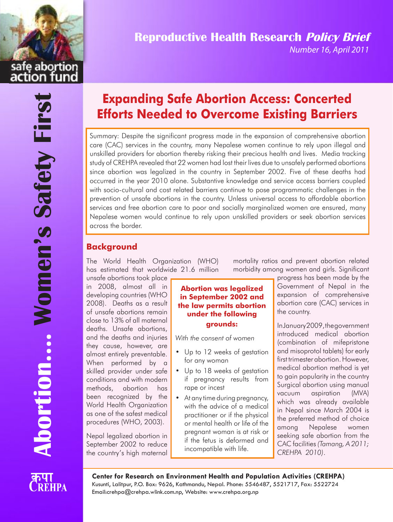safe abortion

# **Reproductive Health Research Policy Brief**

Number 16, April 2011

# **Expanding Safe Abortion Access: Concerted Efforts Needed to Overcome Existing Barriers**

Summary: Despite the significant progress made in the expansion of comprehensive abortion care (CAC) services in the country, many Nepalese women continue to rely upon illegal and unskilled providers for abortion thereby risking their precious health and lives. Media tracking study of CREHPA revealed that 22 women had lost their lives due to unsafely performed abortions since abortion was legalized in the country in September 2002. Five of these deaths had occurred in the year 2010 alone. Substantive knowledge and service access barriers coupled with socio-cultural and cost related barriers continue to pose programmatic challenges in the prevention of unsafe abortions in the country. Unless universal access to affordable abortion services and free abortion care to poor and socially marginalized women are ensured, many Nepalese women would continue to rely upon unskilled providers or seek abortion services across the border.

# **Background**

The World Health Organization (WHO) has estimated that worldwide 21.6 million

unsafe abortions took place in 2008, almost all in developing countries (WHO 2008). Deaths as a result of unsafe abortions remain close to 13% of all maternal deaths. Unsafe abortions, and the deaths and injuries they cause, however, are almost entirely preventable. When performed by a skilled provider under safe conditions and with modern methods, abortion has been recognized by the World Health Organization as one of the safest medical procedures (WHO, 2003).

Nepal legalized abortion in September 2002 to reduce the country's high maternal

#### **Abortion was legalized in September 2002 and the law permits abortion under the following grounds:**

*With the consent of women*

- Up to 12 weeks of gestation for any woman
- Up to 18 weeks of gestation if pregnancy results from rape or incest
- At any time during pregnancy, with the advice of a medical practitioner or if the physical or mental health or life of the pregnant woman is at risk or if the fetus is deformed and incompatible with life.

mortality ratios and prevent abortion related morbidity among women and girls. Significant

> progress has been made by the Government of Nepal in the expansion of comprehensive abortion care (CAC) services in the country.

> InJanuary2009,thegovernment introduced medical abortion (combination of mifepristone and misoprotol tablets) for early first trimester abortion. However, medical abortion method is yet to gain popularity in the country Surgical abortion using manual vacuum aspiration (MVA) which was already available in Nepal since March 2004 is the preferred method of choice among Nepalese women seeking safe abortion from the CAC facilities*(Tamang, A 2011; CREHPA 2010)*.



**Center for Research on Environment Health and Population Activities (CREHPA)** Kusunti, Lalitpur, P.O. Box: 9626, Kathmandu, Nepal. Phone: 5546487, 5521717, Fax: 5522724 Email:crehpa@crehpa.wlink.com.np, Website: www.crehpa.org.np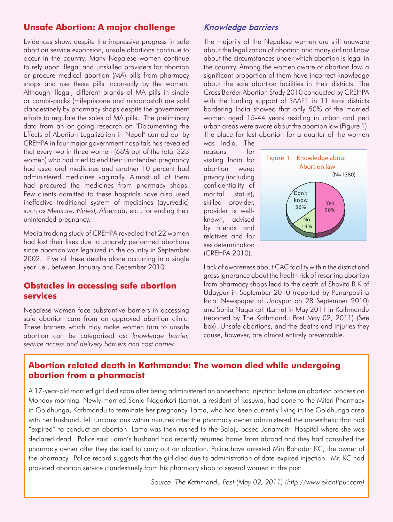# **Unsafe Abortion: A major challenge**

Evidences show, despite the impressive progress in safe abortion service expansion, unsafe abortions continue to occur in the country. Many Nepalese women continue to rely upon illegal and unskilled providers for abortion or procure medical abortion (MA) pills from pharmacy shops and use these pills incorrectly by the women. Although illegal, different brands of MA pills in single or combi-packs (mifepristone and misoprostol) are sold clandestinely by pharmacy shops despite the government efforts to regulate the sales of MA pills. The preliminary data from an on-going research on "Documenting the Effects of Abortion Legalization in Nepal" carried out by CREHPA in four major government hospitals has revealed that every two in three women (68% out of the total 323 women) who had tried to end their unintended pregnancy had used oral medicines and another 10 percent had administered medicines vaginally. Almost all of them had procured the medicines from pharmacy shops. Few clients admitted to these hospitals have also used ineffective traditional system of medicines (ayurvedic) such as *Mensure, Nirjest, Albemda*, etc., for ending their unintended pregnancy.

Media tracking study of CREHPA revealed that 22 women had lost their lives due to unsafely performed abortions since abortion was legalized in the country in September 2002. Five of these deaths alone occurring in a single year i.e., between January and December 2010.

#### **Obstacles in accessing safe abortion services**

Nepalese women face substantive barriers in accessing safe abortion care from an approved abortion clinic. These barriers which may make women turn to unsafe abortion can be categorized as: *knowledge barrier, service access and delivery barriers and cost barrier.*

# Knowledge barriers

The majority of the Nepalese women are still unaware about the legalization of abortion and many did not know about the circumstances under which abortion is legal in the country. Among the women aware of abortion law, a significant proportion of them have incorrect knowledge about the safe abortion facilities in their districts. The Cross Border Abortion Study 2010 conducted by CREHPA with the funding support of SAAF1 in 11 tarai districts bordering India showed that only 50% of the married women aged 15-44 years residing in urban and peri urban areas were aware about the abortion law (Figure 1). The place for last abortion for a quarter of the women

was India. The reasons for visiting India for abortion were: privacy (including confidentiality of marital status), skilled provider, provider is wellknown, advised by friends and relatives and for sex determination (CREHPA 2010).



Lack of awareness about CAC facility within the district and grossignorance about the health risk of resorting abortion from pharmacy shops lead to the death of Shovita B.K of Udaypur in September 2010 (reported by Punarposti a local Newspaper of Udaypur on 28 September 2010) and Sonia Nagarkoti (Lama) in May 2011 in Kathmandu (reported by The Kathmandu Post May 02, 2011) (See box). Unsafe abortions, and the deaths and injuries they cause, however, are almost entirely preventable.

# **Abortion related death in Kathmandu: The woman died while undergoing abortion from a pharmacist**

A 17-year-old married girl died soon after being administered an anaesthetic injection before an abortion process on Monday morning. Newly-married Sonia Nagarkoti (Lama), a resident of Rasuwa, had gone to the Miteri Pharmacy in Goldhunga, Kathmandu to terminate her pregnancy. Lama, who had been currently living in the Goldhunga area with her husband, fell unconscious within minutes after the pharmacy owner administered the anaesthetic that had "expired" to conduct an abortion. Lama was then rushed to the Balaju-based Janamaitri Hospital where she was declared dead. Police said Lama's husband had recently returned home from abroad and they had consulted the pharmacy owner after they decided to carry out an abortion. Police have arrested Min Bahadur KC, the owner of the pharmacy. Police record suggests that the girl died due to administration of date-expired injection. Mr. KC had provided abortion service clandestinely from his pharmacy shop to several women in the past.

*Source: The Kathmandu Post (May 02, 2011) (http://www.ekantipur.com)*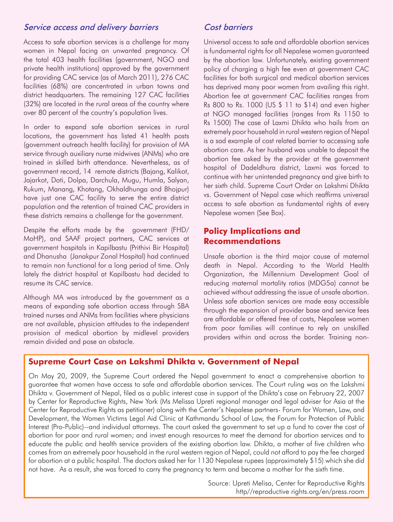### Service access and delivery barriers

Access to safe abortion services is a challenge for many women in Nepal facing an unwanted pregnancy. Of the total 403 health facilities (government, NGO and private health institutions) approved by the government for providing CAC service (as of March 2011), 276 CAC facilities (68%) are concentrated in urban towns and district headquarters. The remaining 127 CAC facilities (32%) are located in the rural areas of the country where over 80 percent of the country's population lives.

In order to expand safe abortion services in rural locations, the government has listed 41 health posts (government outreach health facility) for provision of MA service through auxiliary nurse midwives (ANMs) who are trained in skilled birth attendance. Nevertheless, as of government record, 14 remote districts (Bajang, Kalikot, Jajarkot, Doti, Dolpa, Darchula, Mugu, Humla, Salyan, Rukum, Manang, Khotang, Okhaldhunga and Bhojpur) have just one CAC facility to serve the entire district population and the retention of trained CAC providers in these districts remains a challenge for the government.

Despite the efforts made by the government (FHD/ MoHP), and SAAF project partners, CAC services at government hospitals in Kapilbastu (Prithivi Bir Hospital) and Dhanusha (Janakpur Zonal Hospital) had continued to remain non functional for a long period of time. Only lately the district hospital at Kapilbastu had decided to resume its CAC service.

Although MA was introduced by the government as a means of expanding safe abortion access through SBA trained nurses and ANMs from facilities where physicians are not available, physician attitudes to the independent provision of medical abortion by midlevel providers remain divided and pose an obstacle.

#### Cost barriers

Universal access to safe and affordable abortion services is fundamental rights for all Nepalese women guaranteed by the abortion law. Unfortunately, existing government policy of charging a high fee even at government CAC facilities for both surgical and medical abortion services has deprived many poor women from availing this right. Abortion fee at government CAC facilities ranges from Rs 800 to Rs. 1000 (US \$ 11 to \$14) and even higher at NGO managed facilities (ranges from Rs 1150 to Rs 1500) The case of Laxmi Dhikta who hails from an extremely poor household in rural western region of Nepal is a sad example of cost related barrier to accessing safe abortion care. As her husband was unable to deposit the abortion fee asked by the provider at the government hospital of Dadeldhura district, Laxmi was forced to continue with her unintended pregnancy and give birth to her sixth child. Supreme Court Order on Lakshmi Dhikta vs. Government of Nepal case which reaffirms universal access to safe abortion as fundamental rights of every Nepalese women (See Box).

# **Policy Implications and Recommendations**

Unsafe abortion is the third major cause of maternal death in Nepal. According to the World Health Organization, the Millennium Development Goal of reducing maternal mortality ratios (MDG5a) cannot be achieved without addressing the issue of unsafe abortion. Unless safe abortion services are made easy accessible through the expansion of provider base and service fees are affordable or offered free of costs, Nepalese women from poor families will continue to rely on unskilled providers within and across the border. Training non-

# **Supreme Court Case on Lakshmi Dhikta v. Government of Nepal**

On May 20, 2009, the Supreme Court ordered the Nepal government to enact a comprehensive abortion to guarantee that women have access to safe and affordable abortion services. The Court ruling was on the Lakshmi Dhikta v. Government of Nepal, filed as a public interest case in support of the Dhikta's case on February 22, 2007 by Center for Reproductive Rights, New York (Ms Melissa Upreti regional manager and legal adviser for Asia at the Center for Reproductive Rights as petitioner) along with the Center's Nepalese partners- Forum for Women, Law, and Development, the Women Victims Legal Aid Clinic at Kathmandu School of Law, the Forum for Protection of Public Interest (Pro-Public)--and individual attorneys. The court asked the government to set up a fund to cover the cost of abortion for poor and rural women; and invest enough resources to meet the demand for abortion services and to educate the public and health service providers of the existing abortion law. Dhikta, a mother of five children who comes from an extremely poor household in the rural western region of Nepal, could not afford to pay the fee charged for abortion at a public hospital. The doctors asked her for 1130 Nepalese rupees (approximately \$15) which she did not have. As a result, she was forced to carry the pregnancy to term and become a mother for the sixth time.

> Source: Upreti Melisa, Center for Reproductive Rights http//reproductive rights.org/en/press.room